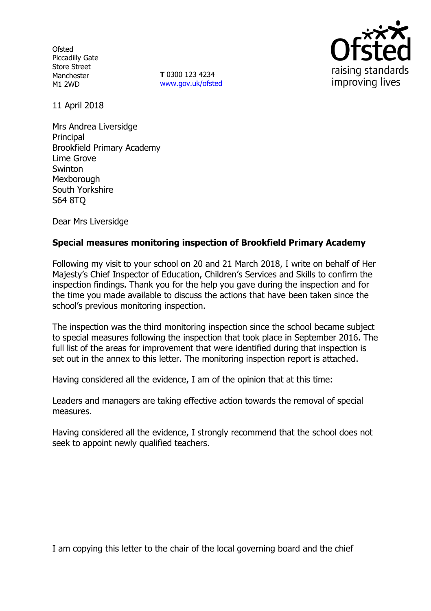**Ofsted** Piccadilly Gate Store Street Manchester M1 2WD

**T** 0300 123 4234 www.gov.uk/ofsted



11 April 2018

Mrs Andrea Liversidge Principal Brookfield Primary Academy Lime Grove **Swinton** Mexborough South Yorkshire S64 8TQ

Dear Mrs Liversidge

## **Special measures monitoring inspection of Brookfield Primary Academy**

Following my visit to your school on 20 and 21 March 2018, I write on behalf of Her Majesty's Chief Inspector of Education, Children's Services and Skills to confirm the inspection findings. Thank you for the help you gave during the inspection and for the time you made available to discuss the actions that have been taken since the school's previous monitoring inspection.

The inspection was the third monitoring inspection since the school became subject to special measures following the inspection that took place in September 2016. The full list of the areas for improvement that were identified during that inspection is set out in the annex to this letter. The monitoring inspection report is attached.

Having considered all the evidence, I am of the opinion that at this time:

Leaders and managers are taking effective action towards the removal of special measures.

Having considered all the evidence, I strongly recommend that the school does not seek to appoint newly qualified teachers.

I am copying this letter to the chair of the local governing board and the chief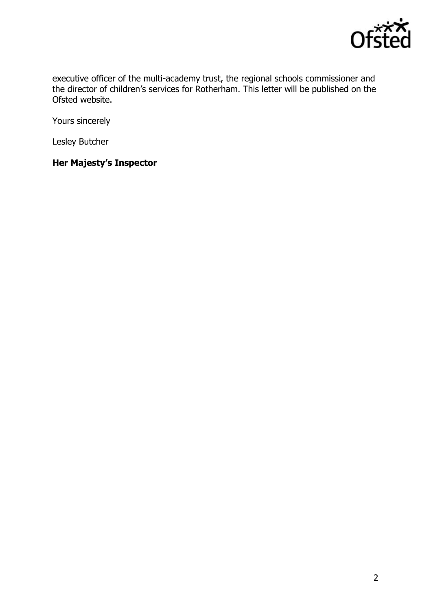

executive officer of the multi-academy trust, the regional schools commissioner and the director of children's services for Rotherham. This letter will be published on the Ofsted website.

Yours sincerely

Lesley Butcher

# **Her Majesty's Inspector**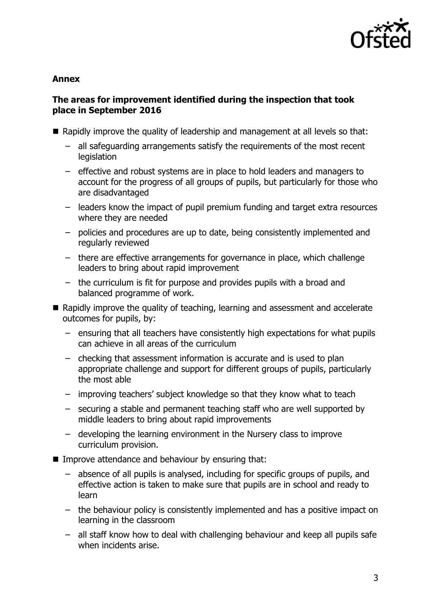

#### **Annex**

## **The areas for improvement identified during the inspection that took place in September 2016**

- Rapidly improve the quality of leadership and management at all levels so that:
	- all safeguarding arrangements satisfy the requirements of the most recent legislation
	- effective and robust systems are in place to hold leaders and managers to account for the progress of all groups of pupils, but particularly for those who are disadvantaged
	- leaders know the impact of pupil premium funding and target extra resources where they are needed
	- policies and procedures are up to date, being consistently implemented and regularly reviewed
	- there are effective arrangements for governance in place, which challenge leaders to bring about rapid improvement
	- the curriculum is fit for purpose and provides pupils with a broad and balanced programme of work.
- Rapidly improve the quality of teaching, learning and assessment and accelerate outcomes for pupils, by:
	- ensuring that all teachers have consistently high expectations for what pupils can achieve in all areas of the curriculum
	- checking that assessment information is accurate and is used to plan appropriate challenge and support for different groups of pupils, particularly the most able
	- improving teachers' subject knowledge so that they know what to teach
	- securing a stable and permanent teaching staff who are well supported by middle leaders to bring about rapid improvements
	- developing the learning environment in the Nursery class to improve curriculum provision.
- **IMPROVE Attendance and behaviour by ensuring that:** 
	- absence of all pupils is analysed, including for specific groups of pupils, and effective action is taken to make sure that pupils are in school and ready to learn
	- the behaviour policy is consistently implemented and has a positive impact on learning in the classroom
	- all staff know how to deal with challenging behaviour and keep all pupils safe when incidents arise.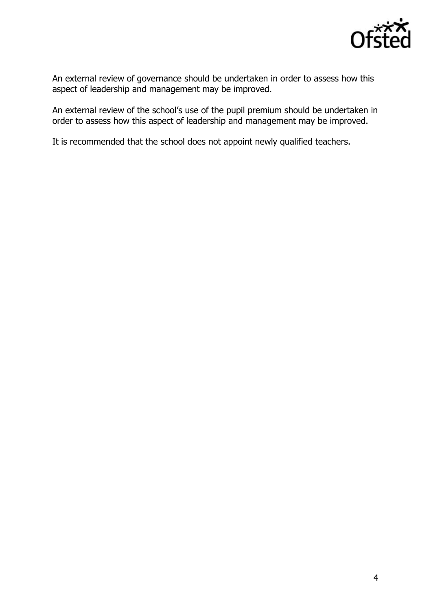

An external review of governance should be undertaken in order to assess how this aspect of leadership and management may be improved.

An external review of the school's use of the pupil premium should be undertaken in order to assess how this aspect of leadership and management may be improved.

It is recommended that the school does not appoint newly qualified teachers.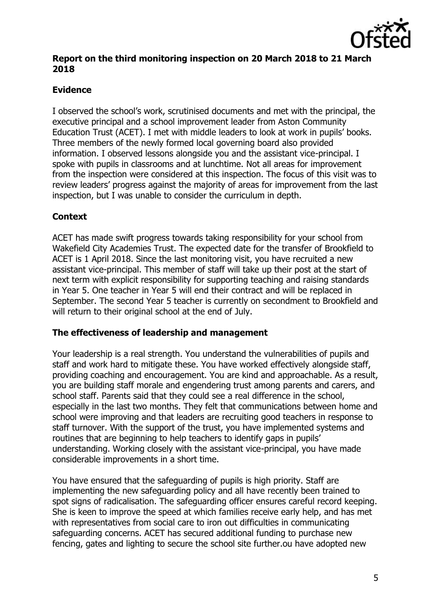

## **Report on the third monitoring inspection on 20 March 2018 to 21 March 2018**

# **Evidence**

I observed the school's work, scrutinised documents and met with the principal, the executive principal and a school improvement leader from Aston Community Education Trust (ACET). I met with middle leaders to look at work in pupils' books. Three members of the newly formed local governing board also provided information. I observed lessons alongside you and the assistant vice-principal. I spoke with pupils in classrooms and at lunchtime. Not all areas for improvement from the inspection were considered at this inspection. The focus of this visit was to review leaders' progress against the majority of areas for improvement from the last inspection, but I was unable to consider the curriculum in depth.

# **Context**

ACET has made swift progress towards taking responsibility for your school from Wakefield City Academies Trust. The expected date for the transfer of Brookfield to ACET is 1 April 2018. Since the last monitoring visit, you have recruited a new assistant vice-principal. This member of staff will take up their post at the start of next term with explicit responsibility for supporting teaching and raising standards in Year 5. One teacher in Year 5 will end their contract and will be replaced in September. The second Year 5 teacher is currently on secondment to Brookfield and will return to their original school at the end of July.

## **The effectiveness of leadership and management**

Your leadership is a real strength. You understand the vulnerabilities of pupils and staff and work hard to mitigate these. You have worked effectively alongside staff, providing coaching and encouragement. You are kind and approachable. As a result, you are building staff morale and engendering trust among parents and carers, and school staff. Parents said that they could see a real difference in the school, especially in the last two months. They felt that communications between home and school were improving and that leaders are recruiting good teachers in response to staff turnover. With the support of the trust, you have implemented systems and routines that are beginning to help teachers to identify gaps in pupils' understanding. Working closely with the assistant vice-principal, you have made considerable improvements in a short time.

You have ensured that the safeguarding of pupils is high priority. Staff are implementing the new safeguarding policy and all have recently been trained to spot signs of radicalisation. The safeguarding officer ensures careful record keeping. She is keen to improve the speed at which families receive early help, and has met with representatives from social care to iron out difficulties in communicating safeguarding concerns. ACET has secured additional funding to purchase new fencing, gates and lighting to secure the school site further.ou have adopted new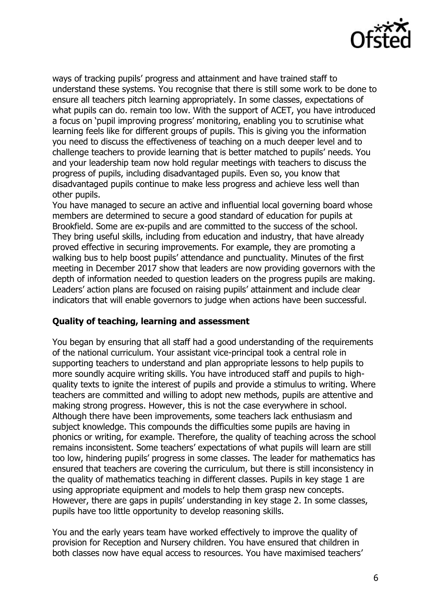

ways of tracking pupils' progress and attainment and have trained staff to understand these systems. You recognise that there is still some work to be done to ensure all teachers pitch learning appropriately. In some classes, expectations of what pupils can do. remain too low. With the support of ACET, you have introduced a focus on 'pupil improving progress' monitoring, enabling you to scrutinise what learning feels like for different groups of pupils. This is giving you the information you need to discuss the effectiveness of teaching on a much deeper level and to challenge teachers to provide learning that is better matched to pupils' needs. You and your leadership team now hold regular meetings with teachers to discuss the progress of pupils, including disadvantaged pupils. Even so, you know that disadvantaged pupils continue to make less progress and achieve less well than other pupils.

You have managed to secure an active and influential local governing board whose members are determined to secure a good standard of education for pupils at Brookfield. Some are ex-pupils and are committed to the success of the school. They bring useful skills, including from education and industry, that have already proved effective in securing improvements. For example, they are promoting a walking bus to help boost pupils' attendance and punctuality. Minutes of the first meeting in December 2017 show that leaders are now providing governors with the depth of information needed to question leaders on the progress pupils are making. Leaders' action plans are focused on raising pupils' attainment and include clear indicators that will enable governors to judge when actions have been successful.

## **Quality of teaching, learning and assessment**

You began by ensuring that all staff had a good understanding of the requirements of the national curriculum. Your assistant vice-principal took a central role in supporting teachers to understand and plan appropriate lessons to help pupils to more soundly acquire writing skills. You have introduced staff and pupils to highquality texts to ignite the interest of pupils and provide a stimulus to writing. Where teachers are committed and willing to adopt new methods, pupils are attentive and making strong progress. However, this is not the case everywhere in school. Although there have been improvements, some teachers lack enthusiasm and subject knowledge. This compounds the difficulties some pupils are having in phonics or writing, for example. Therefore, the quality of teaching across the school remains inconsistent. Some teachers' expectations of what pupils will learn are still too low, hindering pupils' progress in some classes. The leader for mathematics has ensured that teachers are covering the curriculum, but there is still inconsistency in the quality of mathematics teaching in different classes. Pupils in key stage 1 are using appropriate equipment and models to help them grasp new concepts. However, there are gaps in pupils' understanding in key stage 2. In some classes, pupils have too little opportunity to develop reasoning skills.

You and the early years team have worked effectively to improve the quality of provision for Reception and Nursery children. You have ensured that children in both classes now have equal access to resources. You have maximised teachers'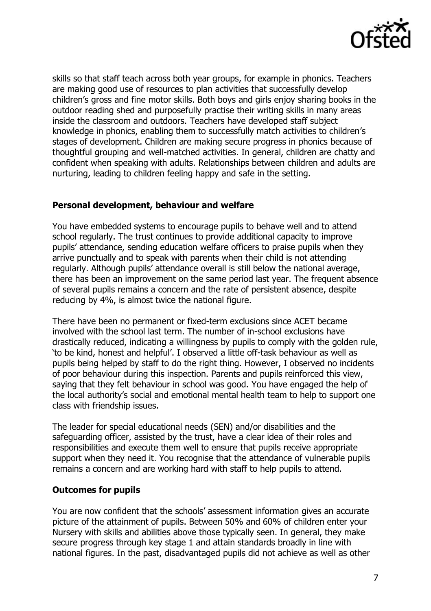

skills so that staff teach across both year groups, for example in phonics. Teachers are making good use of resources to plan activities that successfully develop children's gross and fine motor skills. Both boys and girls enjoy sharing books in the outdoor reading shed and purposefully practise their writing skills in many areas inside the classroom and outdoors. Teachers have developed staff subject knowledge in phonics, enabling them to successfully match activities to children's stages of development. Children are making secure progress in phonics because of thoughtful grouping and well-matched activities. In general, children are chatty and confident when speaking with adults. Relationships between children and adults are nurturing, leading to children feeling happy and safe in the setting.

## **Personal development, behaviour and welfare**

You have embedded systems to encourage pupils to behave well and to attend school regularly. The trust continues to provide additional capacity to improve pupils' attendance, sending education welfare officers to praise pupils when they arrive punctually and to speak with parents when their child is not attending regularly. Although pupils' attendance overall is still below the national average, there has been an improvement on the same period last year. The frequent absence of several pupils remains a concern and the rate of persistent absence, despite reducing by 4%, is almost twice the national figure.

There have been no permanent or fixed-term exclusions since ACET became involved with the school last term. The number of in-school exclusions have drastically reduced, indicating a willingness by pupils to comply with the golden rule, 'to be kind, honest and helpful'. I observed a little off-task behaviour as well as pupils being helped by staff to do the right thing. However, I observed no incidents of poor behaviour during this inspection. Parents and pupils reinforced this view, saying that they felt behaviour in school was good. You have engaged the help of the local authority's social and emotional mental health team to help to support one class with friendship issues.

The leader for special educational needs (SEN) and/or disabilities and the safeguarding officer, assisted by the trust, have a clear idea of their roles and responsibilities and execute them well to ensure that pupils receive appropriate support when they need it. You recognise that the attendance of vulnerable pupils remains a concern and are working hard with staff to help pupils to attend.

#### **Outcomes for pupils**

You are now confident that the schools' assessment information gives an accurate picture of the attainment of pupils. Between 50% and 60% of children enter your Nursery with skills and abilities above those typically seen. In general, they make secure progress through key stage 1 and attain standards broadly in line with national figures. In the past, disadvantaged pupils did not achieve as well as other